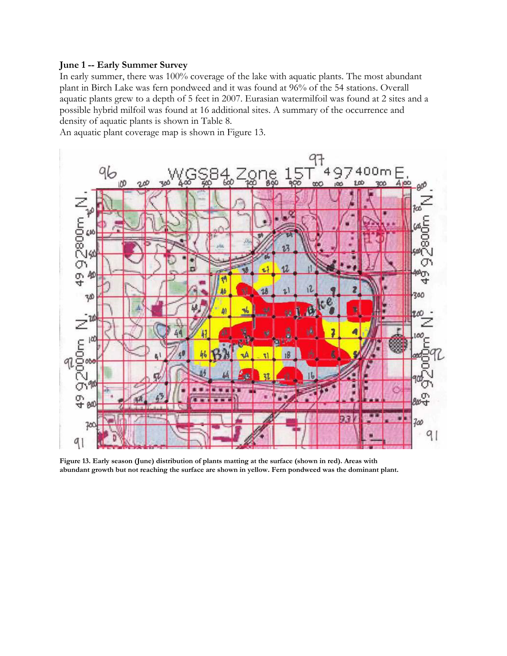## **June 1 -- Early Summer Survey**

In early summer, there was 100% coverage of the lake with aquatic plants. The most abundant plant in Birch Lake was fern pondweed and it was found at 96% of the 54 stations. Overall aquatic plants grew to a depth of 5 feet in 2007. Eurasian watermilfoil was found at 2 sites and a possible hybrid milfoil was found at 16 additional sites. A summary of the occurrence and density of aquatic plants is shown in Table 8.

An aquatic plant coverage map is shown in Figure 13.



**Figure 13. Early season (June) distribution of plants matting at the surface (shown in red). Areas with abundant growth but not reaching the surface are shown in yellow. Fern pondweed was the dominant plant.**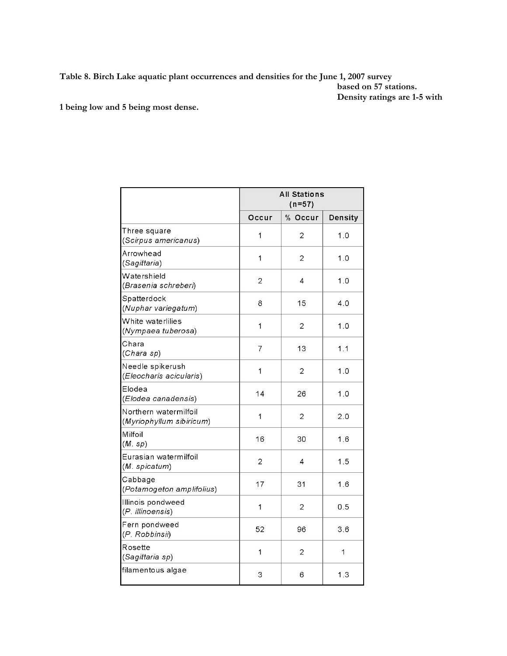**Table 8. Birch Lake aquatic plant occurrences and densities for the June 1, 2007 survey based on 57 stations. Density ratings are 1-5 with** 

**1 being low and 5 being most dense.** 

|                                                   |                | <b>All Stations</b><br>(n=57) |         |  |
|---------------------------------------------------|----------------|-------------------------------|---------|--|
|                                                   | Occur          | % Occur                       | Density |  |
| Three square<br>(Scirpus americanus)              | 1              | 2                             | 1.0     |  |
| Arrowhead<br>(Sagittaria)                         | 1              | $\overline{2}$                | 1.0     |  |
| Watershield<br>(Brasenia schreberi)               | 2              | 4                             | 1.0     |  |
| Spatterdock<br>(Nuphar variegatum)                | 8              | 15                            | 4.0     |  |
| White waterlilies<br>(Nympaea tuberosa)           | $\overline{1}$ | $\overline{2}$                | 1.0     |  |
| Chara<br>(Chara sp)                               | 7              | 13                            | 1.1     |  |
| Needle spikerush<br>(Eleocharis acicularis)       | 1              | $\overline{2}$                | 1.0     |  |
| Elodea<br>(Elodea canadensis)                     | 14             | 26                            | 1.0     |  |
| Northern watermilfoil<br>(Myriophyllum sibiricum) | 1              | $\overline{2}$                | 2.0     |  |
| Milfoil<br>(M. sp)                                | 16             | 30                            | 1.6     |  |
| Eurasian watermilfoil<br>(M. spicatum)            | $\overline{2}$ | 4                             | 1.5     |  |
| Cabbage<br>(Potamogeton amplifolius)              | 17             | 31                            | 1.6     |  |
| Illinois pondweed<br>(P. illinoensis)             | 1              | $\overline{c}$                | 0.5     |  |
| Fern pondweed<br>(P. Robbinsii)                   | 52             | 96                            | 3.6     |  |
| Rosette<br>(Sagittaria sp)                        | 1              | 2                             | 1       |  |
| filamentous algae                                 | 3              | 6                             | 1.3     |  |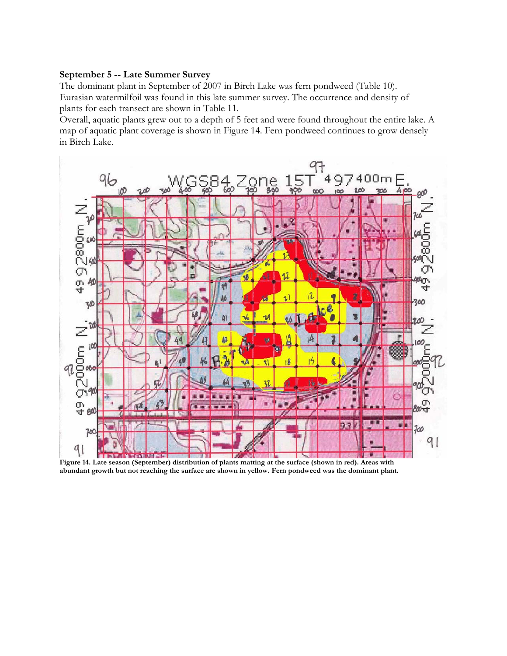## **September 5 -- Late Summer Survey**

The dominant plant in September of 2007 in Birch Lake was fern pondweed (Table 10). Eurasian watermilfoil was found in this late summer survey. The occurrence and density of plants for each transect are shown in Table 11.

Overall, aquatic plants grew out to a depth of 5 feet and were found throughout the entire lake. A map of aquatic plant coverage is shown in Figure 14. Fern pondweed continues to grow densely in Birch Lake.



**Figure 14. Late season (September) distribution of plants matting at the surface (shown in red). Areas with abundant growth but not reaching the surface are shown in yellow. Fern pondweed was the dominant plant.**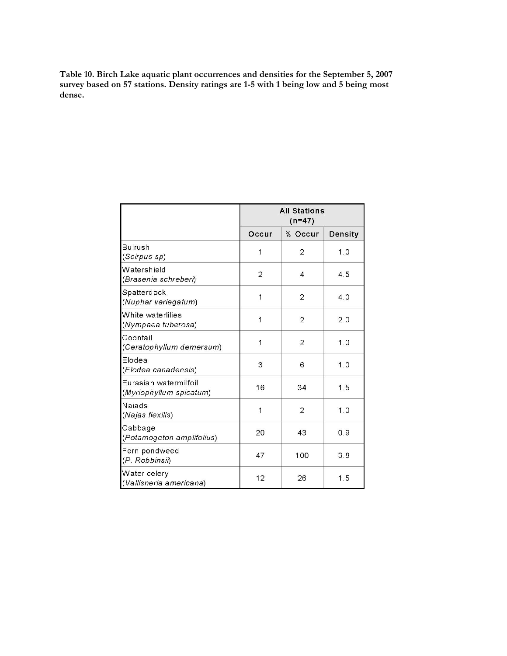**Table 10. Birch Lake aquatic plant occurrences and densities for the September 5, 2007 survey based on 57 stations. Density ratings are 1-5 with 1 being low and 5 being most dense.** 

|                                                  | <b>All Stations</b><br>$(n=47)$ |                |         |
|--------------------------------------------------|---------------------------------|----------------|---------|
|                                                  | Occur                           | % Occur        | Density |
| <b>Bulrush</b><br>(Scirpus sp)                   | 1                               | $\overline{2}$ | 1.0     |
| Watershield<br>(Brasenia schreberi)              | $\overline{2}$                  | 4              | 4.5     |
| Spatterdock<br>(Nuphar variegatum)               | 1                               | $\overline{2}$ | 4.0     |
| White waterlilies<br>(Nympaea tuberosa)          | 1                               | $\overline{2}$ | 2.0     |
| Coontail<br>(Ceratophyllum demersum)             | 1                               | $\overline{2}$ | 1.0     |
| Elodea<br>(Elodea canadensis)                    | 3                               | 6              | 1.0     |
| Eurasian watermilfoil<br>(Myriophyllum spicatum) | 16                              | 34             | 1.5     |
| Naiads<br>(Najas flexilis)                       | 1                               | $\overline{2}$ | 1.0     |
| Cabbage<br>(Potamogeton amplifolius)             | 20                              | 43             | 0.9     |
| Fern pondweed<br>(P. Robbinsii)                  | 47                              | 100            | 3.8     |
| Water celery<br>(Vallisneria americana)          | 12                              | 26             | 1.5     |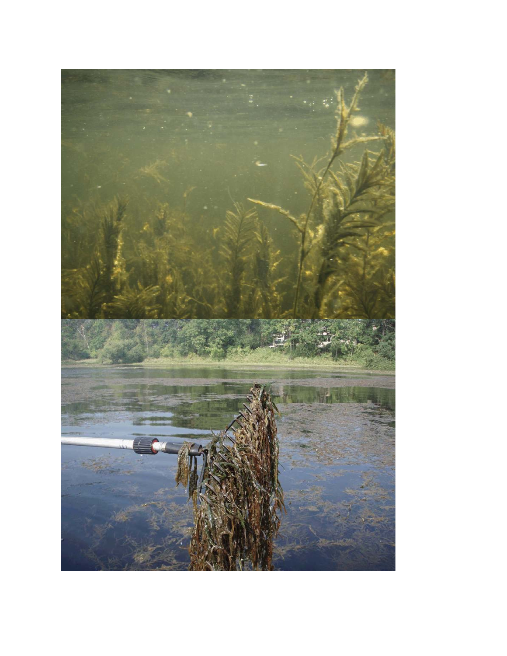